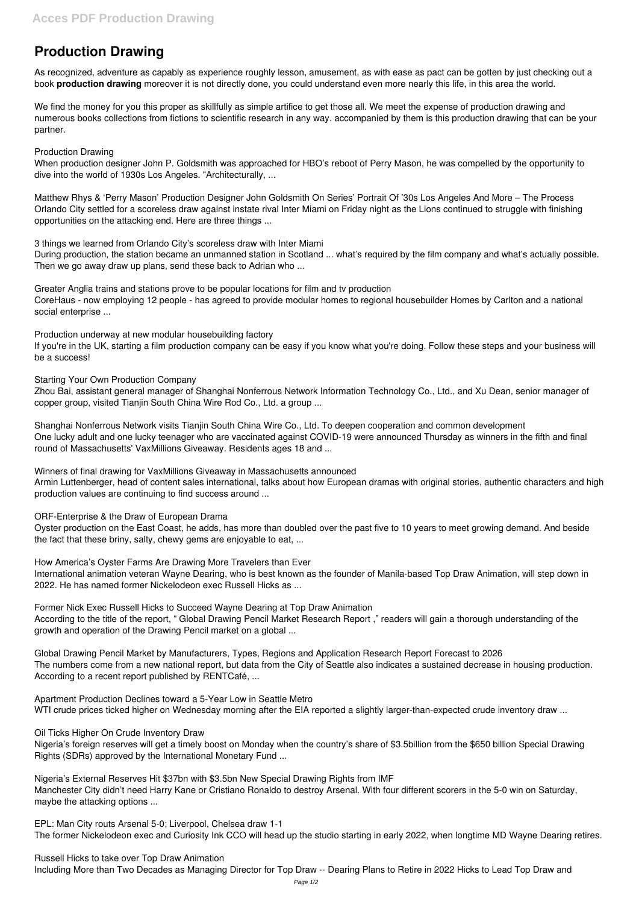## **Production Drawing**

As recognized, adventure as capably as experience roughly lesson, amusement, as with ease as pact can be gotten by just checking out a book **production drawing** moreover it is not directly done, you could understand even more nearly this life, in this area the world.

We find the money for you this proper as skillfully as simple artifice to get those all. We meet the expense of production drawing and numerous books collections from fictions to scientific research in any way. accompanied by them is this production drawing that can be your partner.

## Production Drawing

When production designer John P. Goldsmith was approached for HBO's reboot of Perry Mason, he was compelled by the opportunity to dive into the world of 1930s Los Angeles. "Architecturally, ...

Matthew Rhys & 'Perry Mason' Production Designer John Goldsmith On Series' Portrait Of '30s Los Angeles And More – The Process Orlando City settled for a scoreless draw against instate rival Inter Miami on Friday night as the Lions continued to struggle with finishing opportunities on the attacking end. Here are three things ...

3 things we learned from Orlando City's scoreless draw with Inter Miami

During production, the station became an unmanned station in Scotland ... what's required by the film company and what's actually possible. Then we go away draw up plans, send these back to Adrian who ...

Greater Anglia trains and stations prove to be popular locations for film and tv production CoreHaus - now employing 12 people - has agreed to provide modular homes to regional housebuilder Homes by Carlton and a national social enterprise ...

Production underway at new modular housebuilding factory

If you're in the UK, starting a film production company can be easy if you know what you're doing. Follow these steps and your business will be a success!

Starting Your Own Production Company

Zhou Bai, assistant general manager of Shanghai Nonferrous Network Information Technology Co., Ltd., and Xu Dean, senior manager of copper group, visited Tianjin South China Wire Rod Co., Ltd. a group ...

Shanghai Nonferrous Network visits Tianjin South China Wire Co., Ltd. To deepen cooperation and common development One lucky adult and one lucky teenager who are vaccinated against COVID-19 were announced Thursday as winners in the fifth and final round of Massachusetts' VaxMillions Giveaway. Residents ages 18 and ...

Winners of final drawing for VaxMillions Giveaway in Massachusetts announced Armin Luttenberger, head of content sales international, talks about how European dramas with original stories, authentic characters and high

production values are continuing to find success around ...

ORF-Enterprise & the Draw of European Drama

Oyster production on the East Coast, he adds, has more than doubled over the past five to 10 years to meet growing demand. And beside the fact that these briny, salty, chewy gems are enjoyable to eat, ...

How America's Oyster Farms Are Drawing More Travelers than Ever International animation veteran Wayne Dearing, who is best known as the founder of Manila-based Top Draw Animation, will step down in 2022. He has named former Nickelodeon exec Russell Hicks as ...

Former Nick Exec Russell Hicks to Succeed Wayne Dearing at Top Draw Animation According to the title of the report, " Global Drawing Pencil Market Research Report ," readers will gain a thorough understanding of the growth and operation of the Drawing Pencil market on a global ...

Global Drawing Pencil Market by Manufacturers, Types, Regions and Application Research Report Forecast to 2026 The numbers come from a new national report, but data from the City of Seattle also indicates a sustained decrease in housing production. According to a recent report published by RENTCafé, ...

Apartment Production Declines toward a 5-Year Low in Seattle Metro

WTI crude prices ticked higher on Wednesday morning after the EIA reported a slightly larger-than-expected crude inventory draw ...

Oil Ticks Higher On Crude Inventory Draw Nigeria's foreign reserves will get a timely boost on Monday when the country's share of \$3.5billion from the \$650 billion Special Drawing Rights (SDRs) approved by the International Monetary Fund ...

Nigeria's External Reserves Hit \$37bn with \$3.5bn New Special Drawing Rights from IMF Manchester City didn't need Harry Kane or Cristiano Ronaldo to destroy Arsenal. With four different scorers in the 5-0 win on Saturday, maybe the attacking options ...

EPL: Man City routs Arsenal 5-0; Liverpool, Chelsea draw 1-1 The former Nickelodeon exec and Curiosity Ink CCO will head up the studio starting in early 2022, when longtime MD Wayne Dearing retires.

Russell Hicks to take over Top Draw Animation

Including More than Two Decades as Managing Director for Top Draw -- Dearing Plans to Retire in 2022 Hicks to Lead Top Draw and